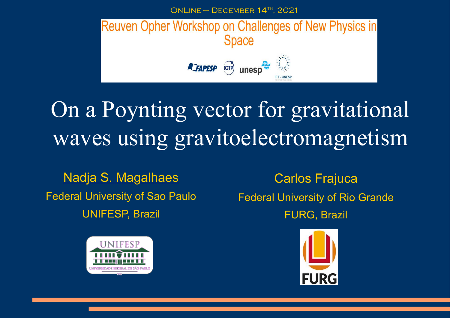ONLINE – DECEMBER  $14$ <sup>TH</sup>, 2021



# On a Poynting vector for gravitational waves using gravitoelectromagnetism

Nadja S. Magalhaes Federal University of Sao Paulo UNIFESP, Brazil



Carlos Frajuca Federal University of Rio Grande FURG, Brazil

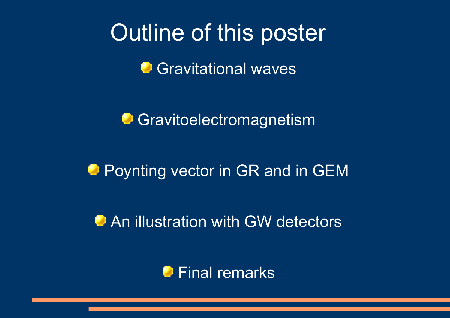## Outline of this poster

**Gravitational waves** 

**Gravitoelectromagnetism** 

### **Poynting vector in GR and in GEM**

**An illustration with GW detectors** 

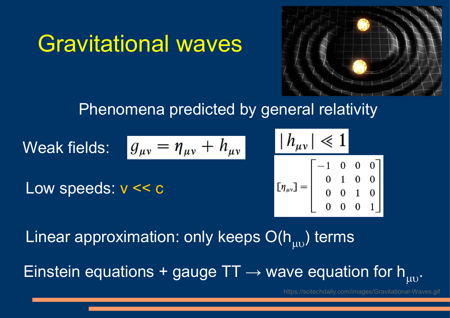

### Phenomena predicted by general relativity

Weak fields:

\n
$$
g_{\mu\nu} = \eta_{\mu\nu} + h_{\mu\nu}
$$
\n
$$
\left| h_{\mu\nu} \right| \ll 1
$$
\nLow speeds:

\n
$$
v \ll c
$$
\n
$$
\left[ \eta_{\mu\nu} \right] = \begin{bmatrix} -1 & 0 & 0 \\ 0 & 1 & 0 \\ 0 & 0 & 1 \\ 0 & 0 & 0 \end{bmatrix}
$$

Gravitational waves

Linear approximation: only keeps  $O(h_{\mu\nu}$ ) terms Einstein equations + gauge TT  $\rightarrow$  wave equation for h<sub>uv</sub>.

https://scitechdaily.com/images/Gravitational-Waves.gif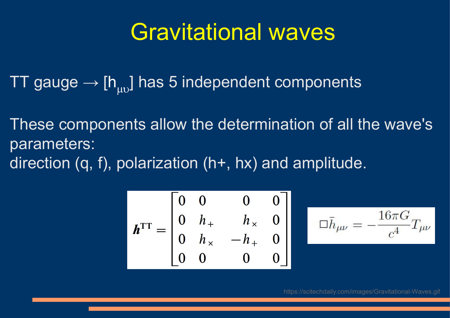### Gravitational waves

TT gauge  $\rightarrow$  [h<sub>uv</sub>] has 5 independent components

These components allow the determination of all the wave's parameters: direction (q, f), polarization (h+, hx) and amplitude.

$$
\boldsymbol{h}^{\text{TT}} = \begin{bmatrix} 0 & 0 & 0 & 0 \\ 0 & h_{+} & h_{\times} & 0 \\ 0 & h_{\times} & -h_{+} & 0 \\ 0 & 0 & 0 & 0 \end{bmatrix}
$$

$$
\Box \bar{h}_{\mu\nu}=-\frac{16\pi G}{c^4}T_{\mu\nu}
$$

https://scitechdaily.com/images/Gravitational-Waves.gif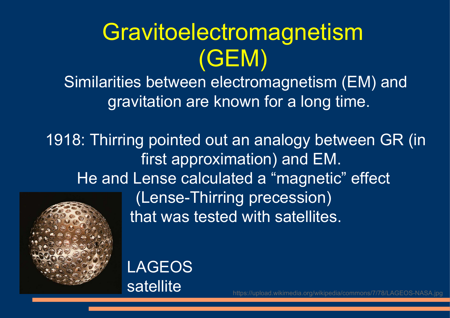# Gravitoelectromagnetism (GEM)

Similarities between electromagnetism (EM) and gravitation are known for a long time.

1918: Thirring pointed out an analogy between GR (in first approximation) and EM. He and Lense calculated a "magnetic" effect (Lense-Thirring precession) that was tested with satellites.



LAGEOS satellite

https://upload.wikimedia.org/wikipedia/commons/7/78/LAGEOS-NASA.jpg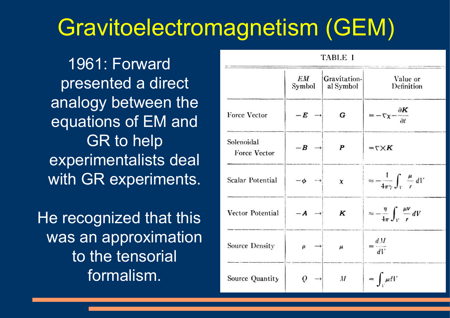## Gravitoelectromagnetism (GEM)

1961: Forward presented a direct analogy between the equations of EM and GR to help experimentalists deal with GR experiments.

He recognized that this was an approximation to the tensorial formalism.

|                                   | EМ<br>Symbol     | Gravitation-<br>al Symbol | Value or<br>Definition                                 |
|-----------------------------------|------------------|---------------------------|--------------------------------------------------------|
| Force Vector                      | $-E \rightarrow$ | G                         | $=-\nabla \chi - \frac{\partial K}{\partial t}$        |
| Solenoidal<br><b>Force Vector</b> | $-B \rightarrow$ | P                         | $=\nabla \times K$                                     |
| <b>Scalar Potential</b>           | $-\phi$          | $\chi$                    | $\approx -\frac{1}{4\pi\gamma}\int_V \frac{\mu}{r} dV$ |
| Vector Potential                  | $-A \rightarrow$ | K                         | $\approx -\frac{\eta}{4\pi}\int_V \frac{\mu V}{r} dV$  |
| Source Density                    | ρ                | $\boldsymbol{\mu}$        | $=\frac{dM}{dV}$                                       |
| Source Quantity                   | Q                | $\overline{M}$            | $= \int_{\mathbb{R}^d} \mu dV$                         |

**TABLE I**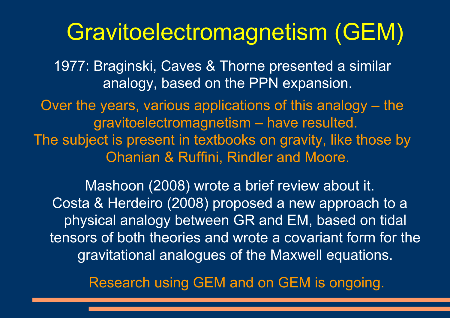### Gravitoelectromagnetism (GEM)

1977: Braginski, Caves & Thorne presented a similar analogy, based on the PPN expansion.

Over the years, various applications of this analogy – the gravitoelectromagnetism – have resulted. The subject is present in textbooks on gravity, like those by Ohanian & Ruffini, Rindler and Moore.

Mashoon (2008) wrote a brief review about it. Costa & Herdeiro (2008) proposed a new approach to a physical analogy between GR and EM, based on tidal tensors of both theories and wrote a covariant form for the gravitational analogues of the Maxwell equations.

Research using GEM and on GEM is ongoing.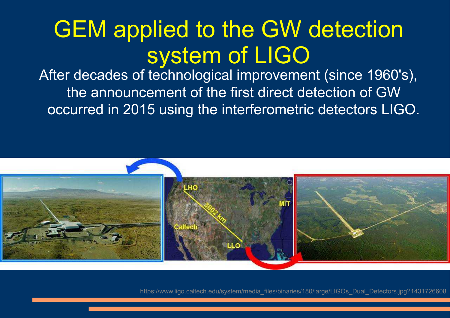# GEM applied to the GW detection system of LIGO

After decades of technological improvement (since 1960's), the announcement of the first direct detection of GW occurred in 2015 using the interferometric detectors LIGO.



https://www.ligo.caltech.edu/system/media\_files/binaries/180/large/LIGOs\_Dual\_Detectors.jpg?1431726608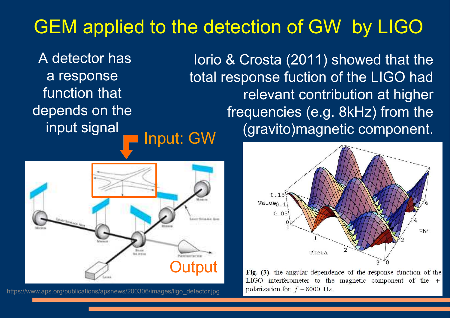### GEM applied to the detection of GW by LIGO

 A detector has a response function that depends on the input signal



https://www.aps.org/publications/apsnews/200306/images/ligo\_detector.jpg

Input: GW Iorio & Crosta (2011) showed that the total response fuction of the LIGO had relevant contribution at higher frequencies (e.g. 8kHz) from the (gravito)magnetic component.



Fig. (3), the angular dependence of the response function of the LIGO interferometer to the magnetic component of the  $+$ polarization for  $f = 8000$  Hz.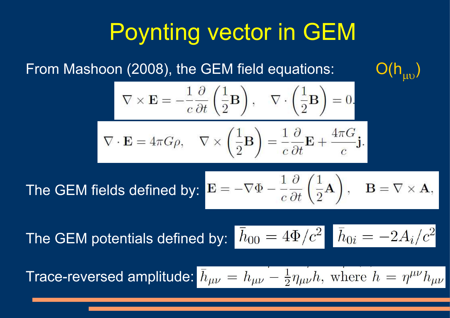# Poynting vector in GEM

From Mashoon (2008), the GEM field equations:

$$
\mathsf{O}(\mathsf{h}_{\mu\nu})
$$

$$
\nabla \times \mathbf{E} = -\frac{1}{c} \frac{\partial}{\partial t} \left( \frac{1}{2} \mathbf{B} \right), \quad \nabla \cdot \left( \frac{1}{2} \mathbf{B} \right) = 0,
$$
  

$$
\nabla \cdot \mathbf{E} = 4\pi G \rho, \quad \nabla \times \left( \frac{1}{2} \mathbf{B} \right) = \frac{1}{c} \frac{\partial}{\partial t} \mathbf{E} + \frac{4\pi G}{c} \mathbf{j}
$$

The GEM fields defined by:  $\mathbf{B} = -\nabla \Phi - \frac{1}{c} \frac{\partial}{\partial t} \left( \frac{1}{2} \mathbf{A} \right)$ ,  $\mathbf{B} = \nabla \times \mathbf{A}$ ,

The GEM potentials defined by:  $\bar{h}_{00} = 4\Phi/c^2$   $\bar{h}_{0i} = -2A_i/c^2$ 

**Trace-reversed amplitude:**  $\bar{h}_{\mu\nu} = h_{\mu\nu} - \frac{1}{2} \eta_{\mu\nu} h$ , where  $h = \eta^{\mu\nu} h_{\mu\nu}$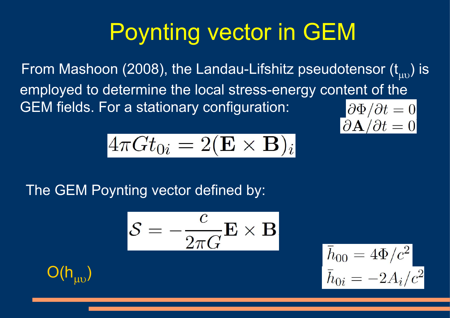# Poynting vector in GEM

From Mashoon (2008), the Landau-Lifshitz pseudotensor  $(t_{\text{m}})$  is employed to determine the local stress-energy content of the GEM fields. For a stationary configuration:  $\partial \Phi / \partial t = 0$ 

$$
4\pi G t_{0i}=2({\bf E}\times {\bf B})_i
$$

The GEM Poynting vector defined by:

$$
\mathcal{S} = -\frac{c}{2\pi G} \mathbf{E} \times \mathbf{B}
$$



$$
\bar{h}_{00} = 4\Phi/c^2
$$

$$
\bar{h}_{0i} = -2A_i/c^2
$$

 $\partial {\bf A}/\partial t=0$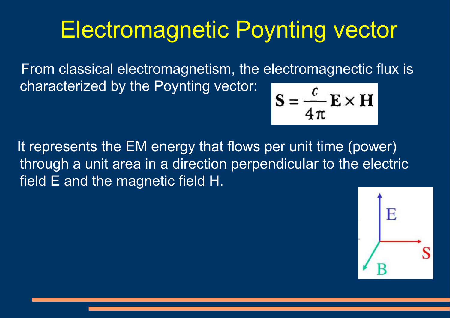# Electromagnetic Poynting vector

 From classical electromagnetism, the electromagnectic flux is characterized by the Poynting vector:

$$
S = \frac{c}{4\pi} E \times H
$$

 It represents the EM energy that flows per unit time (power) through a unit area in a direction perpendicular to the electric field E and the magnetic field H.

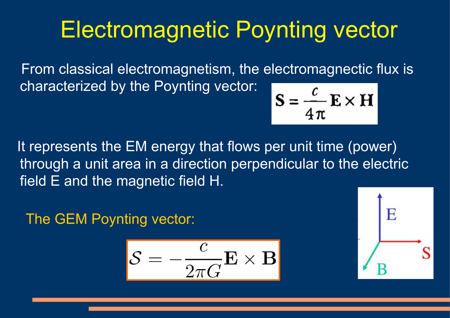# Electromagnetic Poynting vector

 From classical electromagnetism, the electromagnectic flux is characterized by the Poynting vector:

$$
S = \frac{c}{4\pi} E \times H
$$

It represents the EM energy that flows per unit time (power) through a unit area in a direction perpendicular to the electric field E and the magnetic field H.

The GEM Poynting vector:

$$
\mathcal{S} = -\frac{c}{2\pi G} \mathbf{E} \times \mathbf{B}
$$

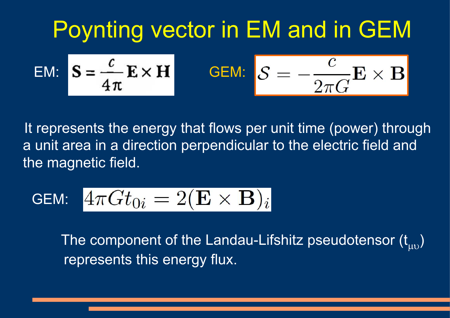# Poynting vector in EM and in GEM

$$
EM: \quad \mathbf{S} = \frac{c}{4\pi} \mathbf{E} \times \mathbf{H} \qquad \qquad \mathbf{GEM}: \quad \mathbf{S} = -\frac{c}{2\pi G} \mathbf{E} \times \mathbf{B}
$$

 It represents the energy that flows per unit time (power) through a unit area in a direction perpendicular to the electric field and the magnetic field.

$$
\textsf{GEM:}~~4\pi G t_{0i}=2(\mathbf{E}\times \mathbf{B})_i
$$

The component of the Landau-Lifshitz pseudotensor  $(t_{\text{max}})$ represents this energy flux.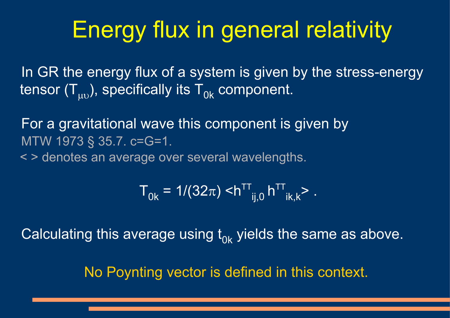# Energy flux in general relativity

In GR the energy flux of a system is given by the stress-energy tensor  $(T_{uv})$ , specifically its  $T_{0k}$  component.

 For a gravitational wave this component is given by MTW 1973 § 35.7. c=G=1.

< > denotes an average over several wavelengths.

$$
T_{0k} = 1/(32\pi) < h^{TT}_{ij,0} h^{TT}_{ik,k} > .
$$

Calculating this average using  $t_{0k}$  yields the same as above.

No Poynting vector is defined in this context.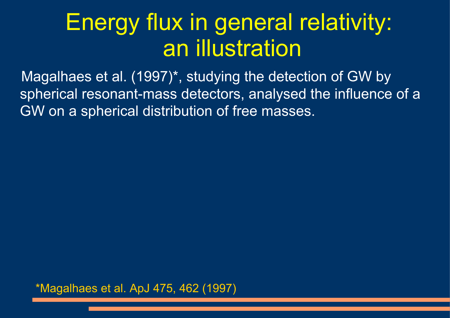# Energy flux in general relativity: an illustration

 Magalhaes et al. (1997)\*, studying the detection of GW by spherical resonant-mass detectors, analysed the influence of a GW on a spherical distribution of free masses.

\*Magalhaes et al. ApJ 475, 462 (1997)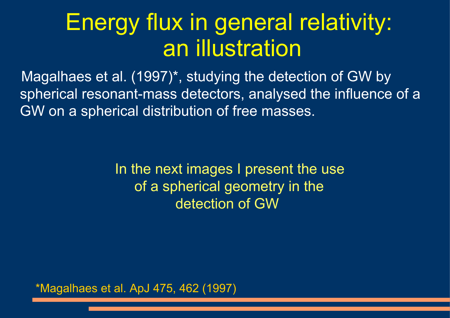# Energy flux in general relativity: an illustration

 Magalhaes et al. (1997)\*, studying the detection of GW by spherical resonant-mass detectors, analysed the influence of a GW on a spherical distribution of free masses.

> In the next images I present the use of a spherical geometry in the detection of GW

\*Magalhaes et al. ApJ 475, 462 (1997)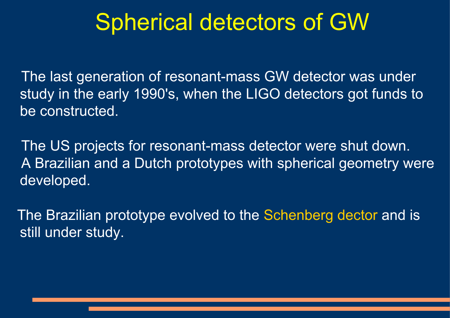## Spherical detectors of GW

 The last generation of resonant-mass GW detector was under study in the early 1990's, when the LIGO detectors got funds to be constructed.

 The US projects for resonant-mass detector were shut down. A Brazilian and a Dutch prototypes with spherical geometry were developed.

 The Brazilian prototype evolved to the Schenberg dector and is still under study.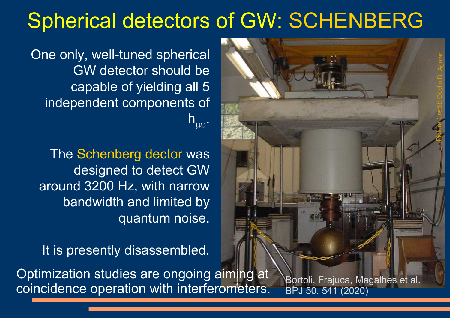### Spherical detectors of GW: SCHENBERG



 One only, well-tuned spherical GW detector should be capable of yielding all 5 independent components of  $h_{\mu\nu}$ .

The Schenberg dector was designed to detect GW around 3200 Hz, with narrow bandwidth and limited by quantum noise.

It is presently disassembled.

 Optimization studies are ongoing aiming at coincidence operation with interferometers. Bortoli, Frajuca, Magalhes et al. BPJ 50, 541 (2020)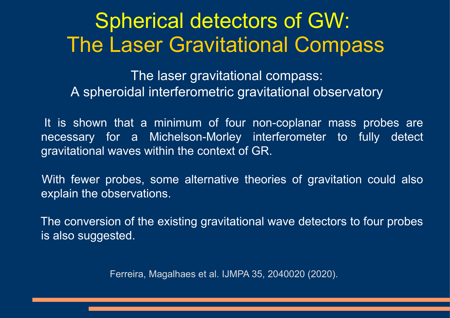### Spherical detectors of GW: The Laser Gravitational Compass

The laser gravitational compass: A spheroidal interferometric gravitational observatory

It is shown that a minimum of four non-coplanar mass probes are necessary for a Michelson-Morley interferometer to fully detect gravitational waves within the context of GR.

 With fewer probes, some alternative theories of gravitation could also explain the observations.

 The conversion of the existing gravitational wave detectors to four probes is also suggested.

Ferreira, Magalhaes et al. IJMPA 35, 2040020 (2020).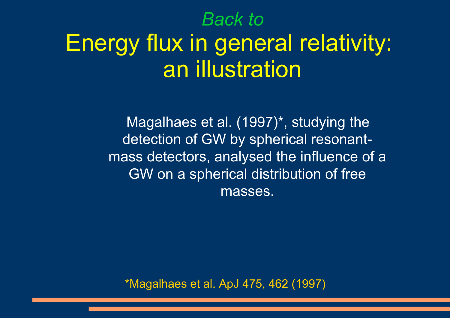### *Back to*

# Energy flux in general relativity: an illustration

 Magalhaes et al. (1997)\*, studying the detection of GW by spherical resonantmass detectors, analysed the influence of a GW on a spherical distribution of free masses.

\*Magalhaes et al. ApJ 475, 462 (1997)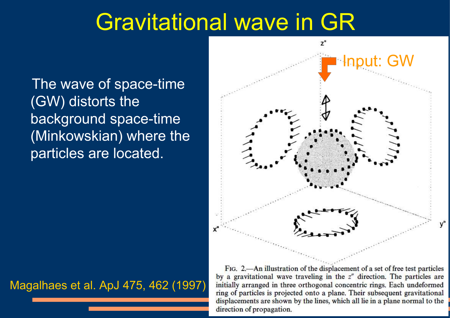### Gravitational wave in GR

 The wave of space-time (GW) distorts the background space-time (Minkowskian) where the particles are located.



#### Magalhaes et al. ApJ 475, 462 (1997)

FIG. 2.—An illustration of the displacement of a set of free test particles by a gravitational wave traveling in the  $z''$  direction. The particles are initially arranged in three orthogonal concentric rings. Each undeformed ring of particles is projected onto a plane. Their subsequent gravitational displacements are shown by the lines, which all lie in a plane normal to the direction of propagation.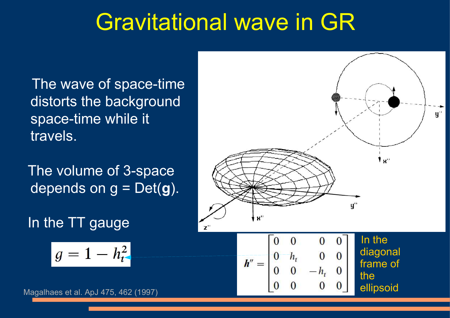## Gravitational wave in GR

 The wave of space-time distorts the background space-time while it travels.

 The volume of 3-space depends on g = Det(**g**).

In the TT gauge

$$
g=1-h_{t}^2
$$





 $\begin{array}{ccc} 0 & h_t & 0 & 0 \\ 0 & 0 & -h_t & 0 \end{array}$ 

 $h'' =$ 

diagonal

frame of

ellipsoid

the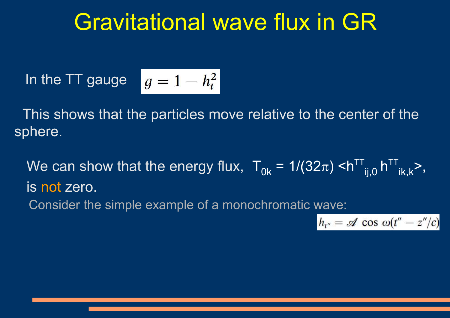### Gravitational wave flux in GR

In the TT gauge 
$$
g = 1 - h_t^2
$$

 This shows that the particles move relative to the center of the sphere.

We can show that the energy flux,  $T_{0k} = 1/(32\pi) \langle h^{TT} \rangle_{\text{i},0} h^{TT}_{\text{k},k}$ , is not zero. Consider the simple example of a monochromatic wave:

$$
h_{t''} = \mathscr{A} \cos \omega(t'' - z''/c)
$$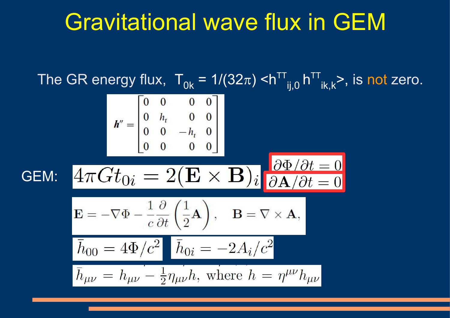### Gravitational wave flux in GEM

The GR energy flux,  $T_{0k}$  = 1/(32 $\pi$ ) <h<sup>TT</sup><sub>ij,0</sub> h<sup>TT</sup><sub>ik,k</sub>>, is not zero.  $\bm{h}'' = \begin{bmatrix} 0 & 0 & 0 & 0 \ 0 & h_t & 0 & 0 \ 0 & 0 & -h_t & 0 \ 0 & 0 & 0 & 0 \end{bmatrix}$  $4\pi G t_{0i} = 2(\mathbf{E} \times \mathbf{B})_i \frac{\partial \Phi / \partial t}{\partial \mathbf{A} / \partial t} = 0$ GEM:  $\mathbf{E} = -\nabla \Phi - \frac{1}{c} \frac{\partial}{\partial t} \left( \frac{1}{2} \mathbf{A} \right), \quad \mathbf{B} = \nabla \times \mathbf{A},$  $\bar{h}_{00} = 4\Phi/c^2$   $\bar{h}_{0i} = -2A_i/c^2$  $\bar{h}_{\mu\nu} = h_{\mu\nu} - \frac{1}{2} \eta_{\mu\nu} h$ , where  $h = \eta^{\mu\nu} h_{\mu\nu}$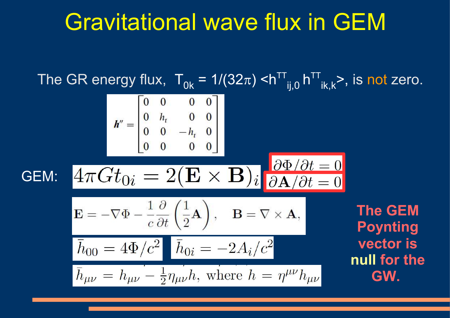### Gravitational wave flux in GEM

The GR energy flux,  $T_{0k}$  = 1/(32 $\pi$ ) <h<sup>TT</sup><sub>ij,0</sub> h<sup>TT</sup><sub>ik,k</sub>>, is not zero.  $\boldsymbol{h}'' = \begin{bmatrix} 0 & 0 & 0 & 0 \ 0 & h_t & 0 & 0 \ 0 & 0 & -h_t & 0 \ 0 & 0 & 0 & 0 \end{bmatrix}$  $4\pi G t_{0i} = 2(\mathbf{E} \times \mathbf{B})_i \frac{\partial \Phi / \partial t}{\partial \mathbf{A} / \partial t} = 0$ GEM:  $\mathbf{E} = -\nabla \Phi - \frac{1}{c} \frac{\partial}{\partial t} \left( \frac{1}{2} \mathbf{A} \right), \quad \mathbf{B} = \nabla \times \mathbf{A},$ **The GEM Poynting**   $\boxed{\bar{h}_{00} = 4\Phi/c^2$   $\boxed{\bar{h}_{0i} = -2A_i/c^2}$ **vector is null for the**   $\bar{h}_{\mu\nu} = h_{\mu\nu} - \frac{1}{2} \eta_{\mu\nu} h$ , where  $h = \eta^{\mu\nu} h_{\mu\nu}$ **GW.**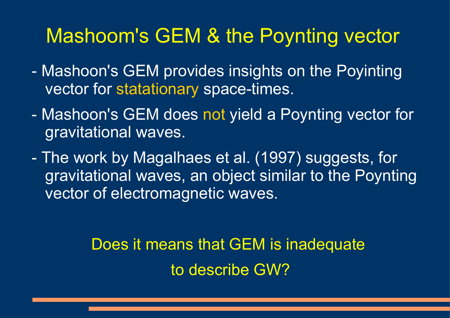### Mashoom's GEM & the Poynting vector

- Mashoon's GEM provides insights on the Poyinting vector for statationary space-times.
- Mashoon's GEM does not yield a Poynting vector for gravitational waves.
- The work by Magalhaes et al. (1997) suggests, for gravitational waves, an object similar to the Poynting vector of electromagnetic waves.

Does it means that GEM is inadequate to describe GW?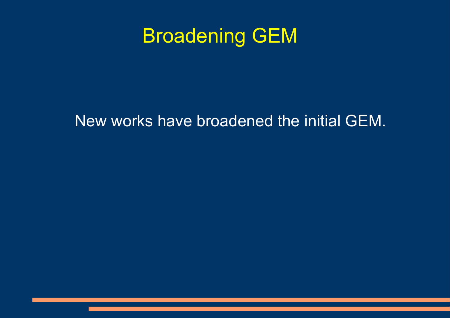### Broadening GEM

#### New works have broadened the initial GEM.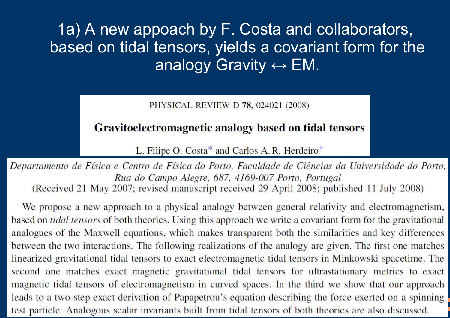1a) A new appoach by F. Costa and collaborators, based on tidal tensors, yields a covariant form for the analogy Gravity  $\leftrightarrow$  EM.

PHYSICAL REVIEW D 78, 024021 (2008)

#### Gravitoelectromagnetic analogy based on tidal tensors

L. Filipe O. Costa\* and Carlos A. R. Herdeiro<sup>+</sup>

Departamento de Física e Centro de Física do Porto, Faculdade de Ciências da Universidade do Porto, Rua do Campo Alegre, 687, 4169-007 Porto, Portugal (Received 21 May 2007; revised manuscript received 29 April 2008; published 11 July 2008)

We propose a new approach to a physical analogy between general relativity and electromagnetism, based on *tidal tensors* of both theories. Using this approach we write a covariant form for the gravitational analogues of the Maxwell equations, which makes transparent both the similarities and key differences between the two interactions. The following realizations of the analogy are given. The first one matches linearized gravitational tidal tensors to exact electromagnetic tidal tensors in Minkowski spacetime. The second one matches exact magnetic gravitational tidal tensors for ultrastationary metrics to exact magnetic tidal tensors of electromagnetism in curved spaces. In the third we show that our approach leads to a two-step exact derivation of Papapetrou's equation describing the force exerted on a spinning test particle. Analogous scalar invariants built from tidal tensors of both theories are also discussed.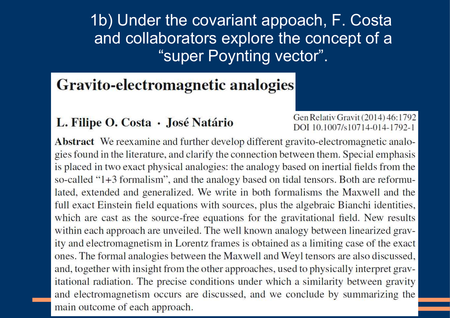1b) Under the covariant appoach, F. Costa and collaborators explore the concept of a "super Poynting vector".

#### **Gravito-electromagnetic analogies**

#### L. Filipe O. Costa · José Natário

Gen Relativ Gravit (2014) 46:1792 DOI 10.1007/s10714-014-1792-1

Abstract We reexamine and further develop different gravito-electromagnetic analogies found in the literature, and clarify the connection between them. Special emphasis is placed in two exact physical analogies: the analogy based on inertial fields from the so-called "1+3 formalism", and the analogy based on tidal tensors. Both are reformulated, extended and generalized. We write in both formalisms the Maxwell and the full exact Einstein field equations with sources, plus the algebraic Bianchi identities, which are cast as the source-free equations for the gravitational field. New results within each approach are unveiled. The well known analogy between linearized gravity and electromagnetism in Lorentz frames is obtained as a limiting case of the exact ones. The formal analogies between the Maxwell and Weyl tensors are also discussed, and, together with insight from the other approaches, used to physically interpret gravitational radiation. The precise conditions under which a similarity between gravity and electromagnetism occurs are discussed, and we conclude by summarizing the main outcome of each approach.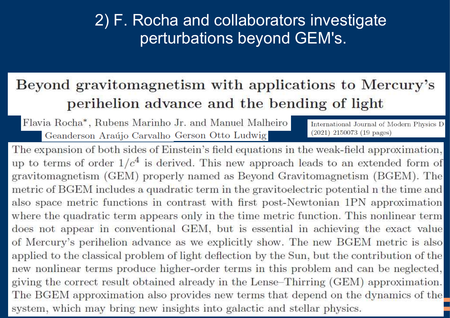### 2) F. Rocha and collaborators investigate perturbations beyond GEM's.

#### Beyond gravitomagnetism with applications to Mercury's perihelion advance and the bending of light

Flavia Rocha<sup>\*</sup>, Rubens Marinho Jr. and Manuel Malheiro Geanderson Araújo Carvalho Gerson Otto Ludwig

International Journal of Modern Physics D  $(2021)$  2150073 (19 pages)

The expansion of both sides of Einstein's field equations in the weak-field approximation, up to terms of order  $1/c<sup>4</sup>$  is derived. This new approach leads to an extended form of gravitomagnetism (GEM) properly named as Beyond Gravitomagnetism (BGEM). The metric of BGEM includes a quadratic term in the gravitoelectric potential n the time and also space metric functions in contrast with first post-Newtonian 1PN approximation where the quadratic term appears only in the time metric function. This nonlinear term does not appear in conventional GEM, but is essential in achieving the exact value of Mercury's perihelion advance as we explicitly show. The new BGEM metric is also applied to the classical problem of light deflection by the Sun, but the contribution of the new nonlinear terms produce higher-order terms in this problem and can be neglected, giving the correct result obtained already in the Lense-Thirring (GEM) approximation. The BGEM approximation also provides new terms that depend on the dynamics of the system, which may bring new insights into galactic and stellar physics.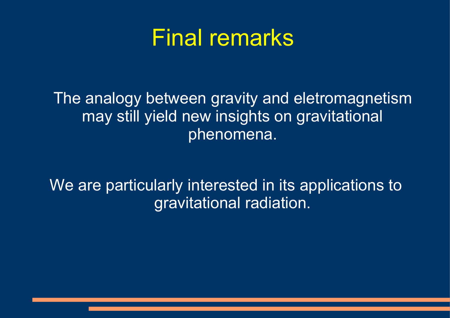### Final remarks

 The analogy between gravity and eletromagnetism may still yield new insights on gravitational phenomena.

We are particularly interested in its applications to gravitational radiation.